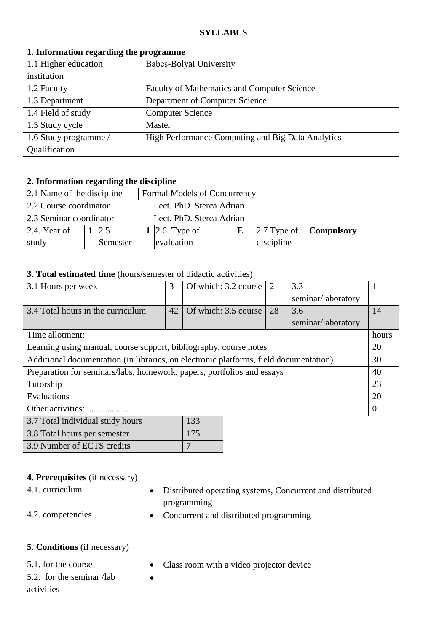### **SYLLABUS**

| 1. Information regarding the programme |                                                    |  |  |  |
|----------------------------------------|----------------------------------------------------|--|--|--|
| 1.1 Higher education                   | Babeș-Bolyai University                            |  |  |  |
| institution                            |                                                    |  |  |  |
| 1.2 Faculty                            | <b>Faculty of Mathematics and Computer Science</b> |  |  |  |
| 1.3 Department                         | Department of Computer Science                     |  |  |  |
| 1.4 Field of study                     | <b>Computer Science</b>                            |  |  |  |
| 1.5 Study cycle                        | Master                                             |  |  |  |
| 1.6 Study programme /                  | High Performance Computing and Big Data Analytics  |  |  |  |
| Qualification                          |                                                    |  |  |  |

#### **1. Information regarding the programme**

# **2. Information regarding the discipline**

| 2.1 Name of the discipline |                                                    |                 |  | Formal Models of Concurrency |   |            |                                               |
|----------------------------|----------------------------------------------------|-----------------|--|------------------------------|---|------------|-----------------------------------------------|
|                            | 2.2 Course coordinator<br>Lect. PhD. Sterca Adrian |                 |  |                              |   |            |                                               |
| 2.3 Seminar coordinator    |                                                    |                 |  | Lect. PhD. Sterca Adrian     |   |            |                                               |
| 2.4. Year of               |                                                    | 2.5             |  | 1   2.6. Type of             | E |            | $\vert$ 2.7 Type of $\vert$ <b>Compulsory</b> |
| study                      |                                                    | <b>Semester</b> |  | evaluation                   |   | discipline |                                               |

### **3. Total estimated time** (hours/semester of didactic activities)

| 3.1 Hours per week                                                                    | 3  | Of which: 3.2 course | 2  | 3.3                |          |
|---------------------------------------------------------------------------------------|----|----------------------|----|--------------------|----------|
|                                                                                       |    |                      |    | seminar/laboratory |          |
| 3.4 Total hours in the curriculum                                                     | 42 | Of which: 3.5 course | 28 | 3.6                | 14       |
|                                                                                       |    |                      |    | seminar/laboratory |          |
| Time allotment:                                                                       |    |                      |    |                    | hours    |
| Learning using manual, course support, bibliography, course notes                     |    |                      |    |                    | 20       |
| Additional documentation (in libraries, on electronic platforms, field documentation) |    |                      |    |                    | 30       |
| Preparation for seminars/labs, homework, papers, portfolios and essays                |    |                      |    |                    | 40       |
| Tutorship                                                                             |    |                      |    |                    | 23       |
| Evaluations                                                                           |    |                      |    |                    | 20       |
| Other activities:                                                                     |    |                      |    |                    | $\Omega$ |
| 3.7 Total individual study hours                                                      |    | 133                  |    |                    |          |

| 3.7 TOTAL INGLYIQUAL STUQY HOULS | 199 |
|----------------------------------|-----|
| 3.8 Total hours per semester     | 175 |
| 3.9 Number of ECTS credits       |     |

## **4. Prerequisites** (if necessary)

| 4.1. curriculum           | • Distributed operating systems, Concurrent and distributed |
|---------------------------|-------------------------------------------------------------|
|                           | programming                                                 |
| $\vert$ 4.2. competencies | • Concurrent and distributed programming                    |

## **5. Conditions** (if necessary)

| 5.1 for the course                | Class room with a video projector device |
|-----------------------------------|------------------------------------------|
| $\vert$ 5.2. for the seminar /lab |                                          |
| activities                        |                                          |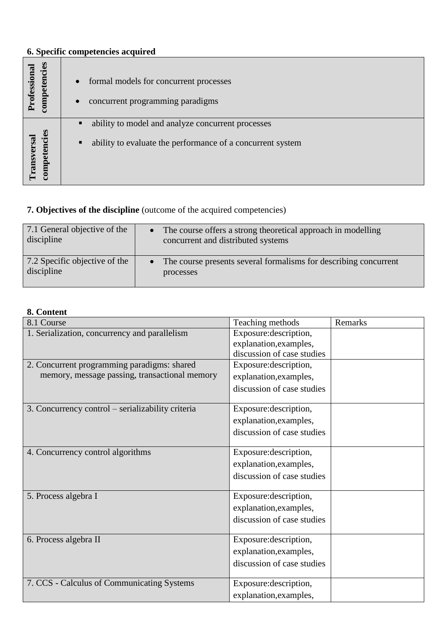# **6. Specific competencies acquired**

| competencies<br>rofessional              | formal models for concurrent processes<br>$\bullet$<br>concurrent programming paradigms                                                |
|------------------------------------------|----------------------------------------------------------------------------------------------------------------------------------------|
| cansversa<br><u>්ධ</u><br>Ĕ<br>Đ<br>ompe | ability to model and analyze concurrent processes<br>$\blacksquare$<br>ability to evaluate the performance of a concurrent system<br>п |

## **7. Objectives of the discipline** (outcome of the acquired competencies)

| 7.1 General objective of the  | The course offers a strong theoretical approach in modelling     |
|-------------------------------|------------------------------------------------------------------|
| discipline                    | concurrent and distributed systems                               |
| 7.2 Specific objective of the | The course presents several formalisms for describing concurrent |
| discipline                    | processes                                                        |

## **8. Content**

| 8.1 Course                                        | Teaching methods           | Remarks |
|---------------------------------------------------|----------------------------|---------|
| 1. Serialization, concurrency and parallelism     | Exposure: description,     |         |
|                                                   | explanation, examples,     |         |
|                                                   | discussion of case studies |         |
| 2. Concurrent programming paradigms: shared       | Exposure: description,     |         |
| memory, message passing, transactional memory     | explanation, examples,     |         |
|                                                   | discussion of case studies |         |
| 3. Concurrency control – serializability criteria | Exposure: description,     |         |
|                                                   | explanation, examples,     |         |
|                                                   | discussion of case studies |         |
| 4. Concurrency control algorithms                 | Exposure: description,     |         |
|                                                   | explanation, examples,     |         |
|                                                   | discussion of case studies |         |
| 5. Process algebra I                              | Exposure: description,     |         |
|                                                   | explanation, examples,     |         |
|                                                   | discussion of case studies |         |
| 6. Process algebra II                             | Exposure: description,     |         |
|                                                   | explanation, examples,     |         |
|                                                   | discussion of case studies |         |
| 7. CCS - Calculus of Communicating Systems        | Exposure: description,     |         |
|                                                   | explanation, examples,     |         |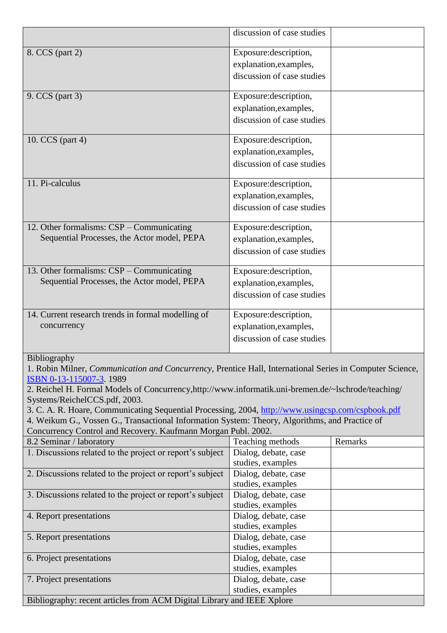|                                                                                                                                 | discussion of case studies                |         |
|---------------------------------------------------------------------------------------------------------------------------------|-------------------------------------------|---------|
| 8. CCS (part 2)                                                                                                                 | Exposure: description,                    |         |
|                                                                                                                                 | explanation, examples,                    |         |
|                                                                                                                                 | discussion of case studies                |         |
|                                                                                                                                 |                                           |         |
| 9. CCS (part 3)                                                                                                                 | Exposure: description,                    |         |
|                                                                                                                                 | explanation, examples,                    |         |
|                                                                                                                                 | discussion of case studies                |         |
| 10. CCS (part 4)                                                                                                                | Exposure: description,                    |         |
|                                                                                                                                 | explanation, examples,                    |         |
|                                                                                                                                 | discussion of case studies                |         |
|                                                                                                                                 |                                           |         |
| 11. Pi-calculus                                                                                                                 | Exposure: description,                    |         |
|                                                                                                                                 | explanation, examples,                    |         |
|                                                                                                                                 | discussion of case studies                |         |
| 12. Other formalisms: CSP – Communicating                                                                                       | Exposure: description,                    |         |
| Sequential Processes, the Actor model, PEPA                                                                                     | explanation, examples,                    |         |
|                                                                                                                                 | discussion of case studies                |         |
|                                                                                                                                 |                                           |         |
| 13. Other formalisms: CSP - Communicating                                                                                       | Exposure: description,                    |         |
| Sequential Processes, the Actor model, PEPA                                                                                     | explanation, examples,                    |         |
|                                                                                                                                 | discussion of case studies                |         |
| 14. Current research trends in formal modelling of                                                                              | Exposure: description,                    |         |
| concurrency                                                                                                                     |                                           |         |
|                                                                                                                                 | explanation, examples,                    |         |
|                                                                                                                                 | discussion of case studies                |         |
| <b>Bibliography</b><br>1. Robin Milner, Communication and Concurrency, Prentice Hall, International Series in Computer Science, |                                           |         |
| ISBN 0-13-115007-3.1989                                                                                                         |                                           |         |
| 2. Reichel H. Formal Models of Concurrency, http://www.informatik.uni-bremen.de/~lschrode/teaching/                             |                                           |         |
| Systems/ReichelCCS.pdf, 2003.                                                                                                   |                                           |         |
| 3. C. A. R. Hoare, Communicating Sequential Processing, 2004, http://www.usingcsp.com/cspbook.pdf                               |                                           |         |
| 4. Weikum G., Vossen G., Transactional Information System: Theory, Algorithms, and Practice of                                  |                                           |         |
| Concurrency Control and Recovery. Kaufmann Morgan Publ. 2002.                                                                   |                                           |         |
| 8.2 Seminar / laboratory                                                                                                        | Teaching methods                          | Remarks |
| 1. Discussions related to the project or report's subject                                                                       | Dialog, debate, case<br>studies, examples |         |
| 2. Discussions related to the project or report's subject                                                                       | Dialog, debate, case                      |         |
|                                                                                                                                 | studies, examples                         |         |
| 3. Discussions related to the project or report's subject                                                                       | Dialog, debate, case                      |         |
|                                                                                                                                 | studies, examples                         |         |
| 4. Report presentations                                                                                                         | Dialog, debate, case                      |         |
|                                                                                                                                 | studies, examples                         |         |
| 5. Report presentations                                                                                                         | Dialog, debate, case                      |         |
|                                                                                                                                 | studies, examples                         |         |
| 6. Project presentations                                                                                                        | Dialog, debate, case                      |         |
|                                                                                                                                 | studies, examples                         |         |
| 7. Project presentations                                                                                                        | Dialog, debate, case                      |         |

studies, examples Bibliography: recent articles from ACM Digital Library and IEEE Xplore